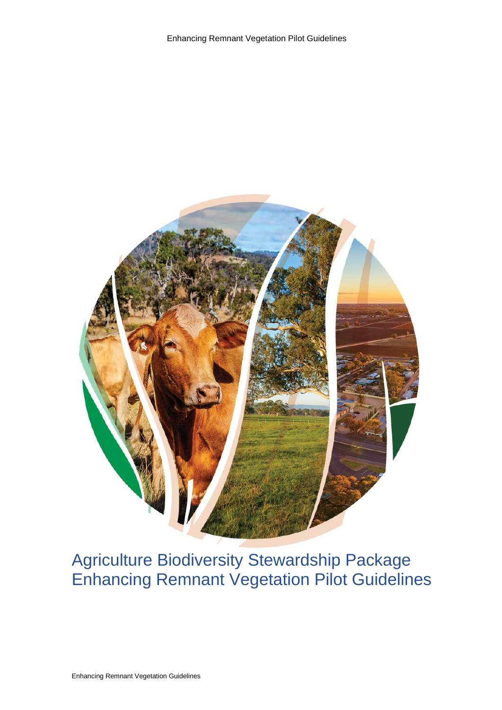

# Agriculture Biodiversity Stewardship Package Enhancing Remnant Vegetation Pilot Guidelines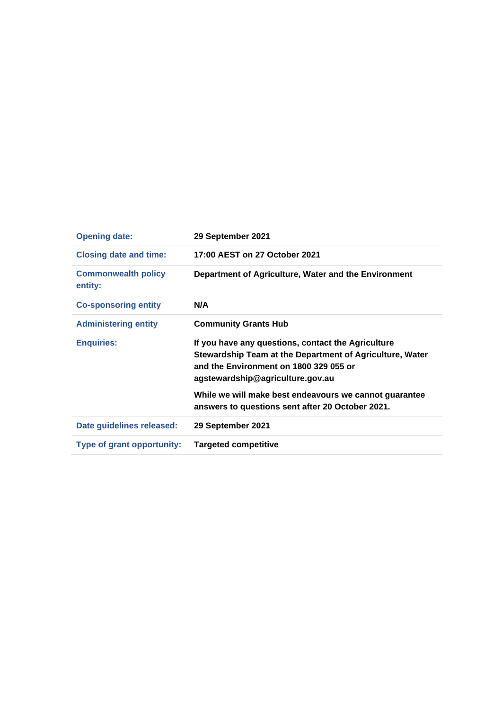| <b>Opening date:</b>                  | 29 September 2021                                                                                                                                                                            |
|---------------------------------------|----------------------------------------------------------------------------------------------------------------------------------------------------------------------------------------------|
| <b>Closing date and time:</b>         | 17:00 AEST on 27 October 2021                                                                                                                                                                |
| <b>Commonwealth policy</b><br>entity: | Department of Agriculture, Water and the Environment                                                                                                                                         |
| <b>Co-sponsoring entity</b>           | N/A                                                                                                                                                                                          |
| <b>Administering entity</b>           | <b>Community Grants Hub</b>                                                                                                                                                                  |
| <b>Enquiries:</b>                     | If you have any questions, contact the Agriculture<br>Stewardship Team at the Department of Agriculture, Water<br>and the Environment on 1800 329 055 or<br>agstewardship@agriculture.gov.au |
|                                       | While we will make best endeavours we cannot guarantee<br>answers to questions sent after 20 October 2021.                                                                                   |
| Date guidelines released:             | 29 September 2021                                                                                                                                                                            |
| <b>Type of grant opportunity:</b>     | <b>Targeted competitive</b>                                                                                                                                                                  |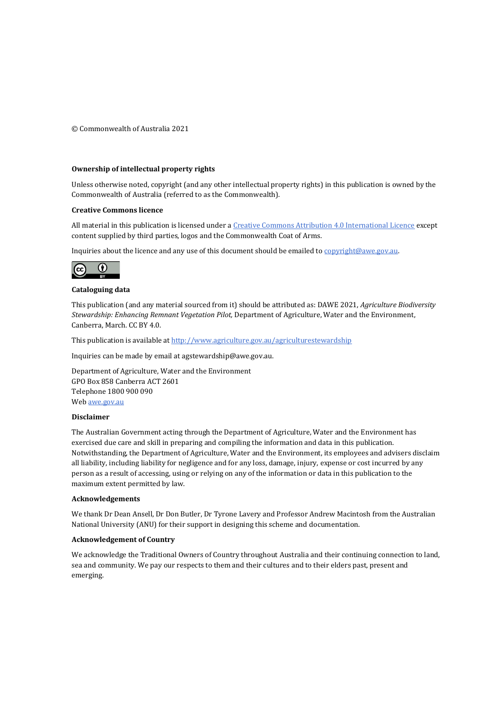© Commonwealth of Australia 2021

#### **Ownership of intellectual property rights**

Unless otherwise noted, copyright (and any other intellectual property rights) in this publication is owned by the Commonwealth of Australia (referred to as the Commonwealth).

#### **Creative Commons licence**

All material in this publication is licensed under [a Creative Commons Attribution 4.0 International Licence](https://creativecommons.org/licenses/by/4.0/legalcode) except content supplied by third parties, logos and the Commonwealth Coat of Arms.

Inquiries about the licence and any use of this document should be emailed t[o copyright@awe.gov.au.](mailto:copyright@awe.gov.au)



#### **Cataloguing data**

This publication (and any material sourced from it) should be attributed as: DAWE 2021, *Agriculture Biodiversity Stewardship: Enhancing Remnant Vegetation Pilot,* Department of Agriculture, Water and the Environment, Canberra, March. CC BY 4.0.

This publication is available a[t http://www.agriculture.gov.au/agriculturestewardship](http://www.agriculture.gov.au/agriculturestewardship)

Inquiries can be made by email at agstewardship@awe.gov.au.

Department of Agriculture, Water and the Environment GPO Box 858 Canberra ACT 2601 Telephone 1800 900 090 We[b awe.gov.au](https://www.awe.gov.au/)

#### **Disclaimer**

The Australian Government acting through the Department of Agriculture, Water and the Environment has exercised due care and skill in preparing and compiling the information and data in this publication. Notwithstanding, the Department of Agriculture, Water and the Environment, its employees and advisers disclaim all liability, including liability for negligence and for any loss, damage, injury, expense or cost incurred by any person as a result of accessing, using or relying on any of the information or data in this publication to the maximum extent permitted by law.

#### **Acknowledgements**

We thank Dr Dean Ansell, Dr Don Butler, Dr Tyrone Lavery and Professor Andrew Macintosh from the Australian National University (ANU) for their support in designing this scheme and documentation.

#### **Acknowledgement of Country**

We acknowledge the Traditional Owners of Country throughout Australia and their continuing connection to land, sea and community. We pay our respects to them and their cultures and to their elders past, present and emerging.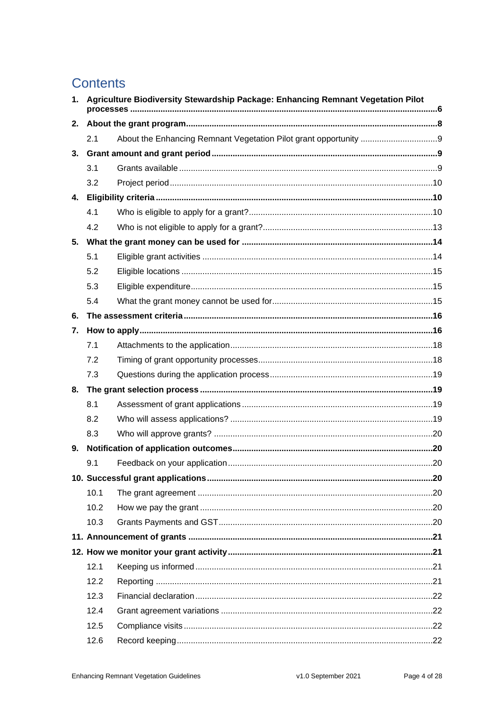# **Contents**

| 1. | Agriculture Biodiversity Stewardship Package: Enhancing Remnant Vegetation Pilot |  |  |
|----|----------------------------------------------------------------------------------|--|--|
| 2. |                                                                                  |  |  |
|    | 2.1                                                                              |  |  |
| 3. |                                                                                  |  |  |
|    | 3.1                                                                              |  |  |
|    | 3.2                                                                              |  |  |
| 4. |                                                                                  |  |  |
|    | 4.1                                                                              |  |  |
|    | 4.2                                                                              |  |  |
| 5. |                                                                                  |  |  |
|    | 5.1                                                                              |  |  |
|    | 5.2                                                                              |  |  |
|    | 5.3                                                                              |  |  |
|    | 5.4                                                                              |  |  |
| 6. |                                                                                  |  |  |
| 7. |                                                                                  |  |  |
|    | 7.1                                                                              |  |  |
|    | 7.2                                                                              |  |  |
|    | 7.3                                                                              |  |  |
| 8. |                                                                                  |  |  |
|    | 8.1                                                                              |  |  |
|    | 8.2                                                                              |  |  |
|    | 8.3                                                                              |  |  |
|    |                                                                                  |  |  |
|    | 9.1                                                                              |  |  |
|    |                                                                                  |  |  |
|    | 10.1                                                                             |  |  |
|    | 10.2                                                                             |  |  |
|    | 10.3                                                                             |  |  |
|    |                                                                                  |  |  |
|    |                                                                                  |  |  |
|    | 12.1                                                                             |  |  |
|    | 12.2                                                                             |  |  |
|    | 12.3                                                                             |  |  |
|    | 12.4                                                                             |  |  |
|    | 12.5                                                                             |  |  |
|    | 12.6                                                                             |  |  |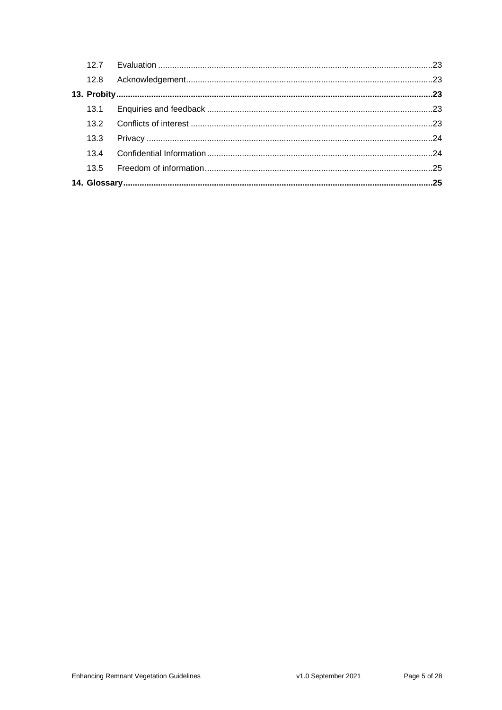| 12.8 |  |
|------|--|
|      |  |
|      |  |
|      |  |
| 13.3 |  |
|      |  |
|      |  |
|      |  |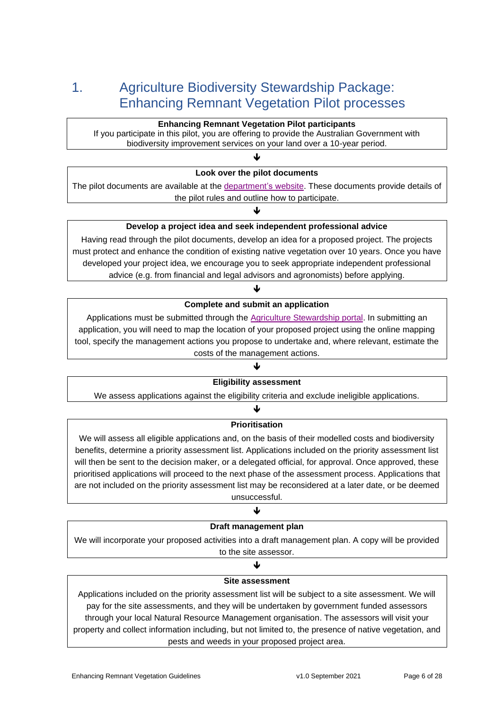# 1. Agriculture Biodiversity Stewardship Package: Enhancing Remnant Vegetation Pilot processes

### **Enhancing Remnant Vegetation Pilot participants**

If you participate in this pilot, you are offering to provide the Australian Government with biodiversity improvement services on your land over a 10-year period.

### ↓

#### **Look over the pilot documents**

The pilot documents are available at the [department's website.](https://www.agriculture.gov.au/ag-farm-food/natural-resources/landcare/sustaining-future-australian-farming/enhancing-remnant-vegetation-pilot) These documents provide details of the pilot rules and outline how to participate.

J

### **Develop a project idea and seek independent professional advice**

Having read through the pilot documents, develop an idea for a proposed project. The projects must protect and enhance the condition of existing native vegetation over 10 years. Once you have developed your project idea, we encourage you to seek appropriate independent professional advice (e.g. from financial and legal advisors and agronomists) before applying.

## J **Complete and submit an application**

Applications must be submitted through the [Agriculture Stewardship portal.](https://agsteward.com.au/program/index.html) In submitting an application, you will need to map the location of your proposed project using the online mapping tool, specify the management actions you propose to undertake and, where relevant, estimate the costs of the management actions.

### $\blacklozenge$ **Eligibility assessment**

We assess applications against the eligibility criteria and exclude ineligible applications.

#### $\blacklozenge$

#### **Prioritisation**

We will assess all eligible applications and, on the basis of their modelled costs and biodiversity benefits, determine a priority assessment list. Applications included on the priority assessment list will then be sent to the decision maker, or a delegated official, for approval. Once approved, these prioritised applications will proceed to the next phase of the assessment process. Applications that are not included on the priority assessment list may be reconsidered at a later date, or be deemed unsuccessful.

#### ↓

#### **Draft management plan**

We will incorporate your proposed activities into a draft management plan. A copy will be provided to the site assessor.

## J

### **Site assessment**

Applications included on the priority assessment list will be subject to a site assessment. We will pay for the site assessments, and they will be undertaken by government funded assessors through your local Natural Resource Management organisation. The assessors will visit your property and collect information including, but not limited to, the presence of native vegetation, and pests and weeds in your proposed project area.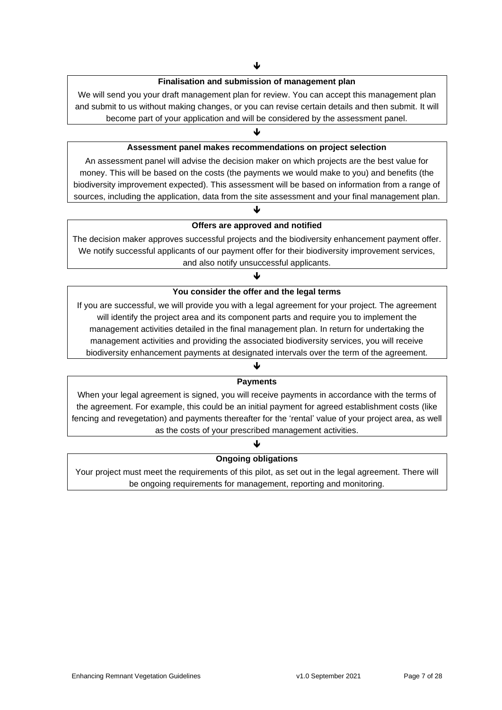### **Finalisation and submission of management plan**

We will send you your draft management plan for review. You can accept this management plan and submit to us without making changes, or you can revise certain details and then submit. It will become part of your application and will be considered by the assessment panel.

### ↓

### **Assessment panel makes recommendations on project selection**

An assessment panel will advise the decision maker on which projects are the best value for money. This will be based on the costs (the payments we would make to you) and benefits (the biodiversity improvement expected). This assessment will be based on information from a range of sources, including the application, data from the site assessment and your final management plan.

## J **Offers are approved and notified**

The decision maker approves successful projects and the biodiversity enhancement payment offer. We notify successful applicants of our payment offer for their biodiversity improvement services, and also notify unsuccessful applicants.

### ♥

#### **You consider the offer and the legal terms**

If you are successful, we will provide you with a legal agreement for your project. The agreement will identify the project area and its component parts and require you to implement the management activities detailed in the final management plan. In return for undertaking the management activities and providing the associated biodiversity services, you will receive biodiversity enhancement payments at designated intervals over the term of the agreement.

### ↓ **Payments**

When your legal agreement is signed, you will receive payments in accordance with the terms of the agreement. For example, this could be an initial payment for agreed establishment costs (like fencing and revegetation) and payments thereafter for the 'rental' value of your project area, as well as the costs of your prescribed management activities.

### $\blacklozenge$ **Ongoing obligations**

Your project must meet the requirements of this pilot, as set out in the legal agreement. There will be ongoing requirements for management, reporting and monitoring.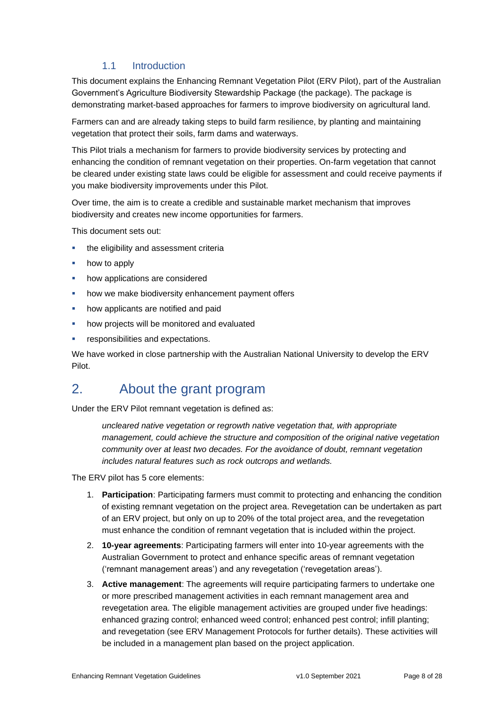## 1.1 Introduction

This document explains the Enhancing Remnant Vegetation Pilot (ERV Pilot), part of the Australian Government's Agriculture Biodiversity Stewardship Package (the package). The package is demonstrating market-based approaches for farmers to improve biodiversity on agricultural land.

Farmers can and are already taking steps to build farm resilience, by planting and maintaining vegetation that protect their soils, farm dams and waterways.

This Pilot trials a mechanism for farmers to provide biodiversity services by protecting and enhancing the condition of remnant vegetation on their properties. On-farm vegetation that cannot be cleared under existing state laws could be eligible for assessment and could receive payments if you make biodiversity improvements under this Pilot.

Over time, the aim is to create a credible and sustainable market mechanism that improves biodiversity and creates new income opportunities for farmers.

This document sets out:

- **•** the eligibility and assessment criteria
- how to apply
- how applications are considered
- how we make biodiversity enhancement payment offers
- how applicants are notified and paid
- how projects will be monitored and evaluated
- **•** responsibilities and expectations.

We have worked in close partnership with the Australian National University to develop the ERV Pilot.

## 2. About the grant program

Under the ERV Pilot remnant vegetation is defined as:

*uncleared native vegetation or regrowth native vegetation that, with appropriate management, could achieve the structure and composition of the original native vegetation community over at least two decades. For the avoidance of doubt, remnant vegetation includes natural features such as rock outcrops and wetlands.*

The ERV pilot has 5 core elements:

- 1. **Participation**: Participating farmers must commit to protecting and enhancing the condition of existing remnant vegetation on the project area. Revegetation can be undertaken as part of an ERV project, but only on up to 20% of the total project area, and the revegetation must enhance the condition of remnant vegetation that is included within the project.
- 2. **10-year agreements**: Participating farmers will enter into 10-year agreements with the Australian Government to protect and enhance specific areas of remnant vegetation ('remnant management areas') and any revegetation ('revegetation areas').
- 3. **Active management**: The agreements will require participating farmers to undertake one or more prescribed management activities in each remnant management area and revegetation area. The eligible management activities are grouped under five headings: enhanced grazing control; enhanced weed control; enhanced pest control; infill planting; and revegetation (see ERV Management Protocols for further details). These activities will be included in a management plan based on the project application.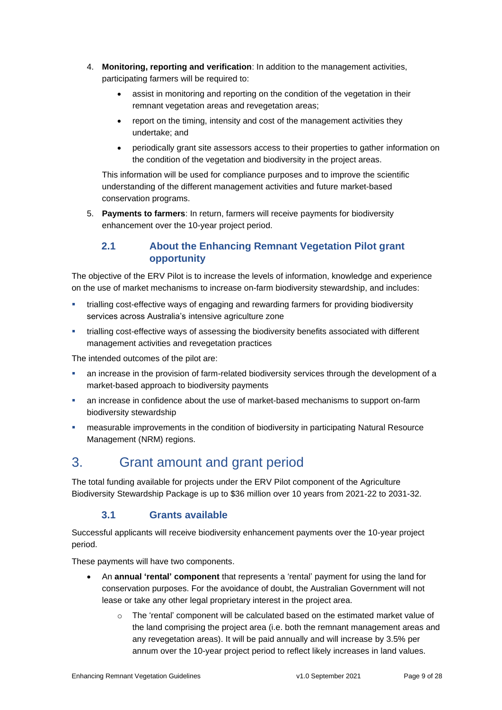- 4. **Monitoring, reporting and verification**: In addition to the management activities, participating farmers will be required to:
	- assist in monitoring and reporting on the condition of the vegetation in their remnant vegetation areas and revegetation areas;
	- report on the timing, intensity and cost of the management activities they undertake; and
	- periodically grant site assessors access to their properties to gather information on the condition of the vegetation and biodiversity in the project areas.

This information will be used for compliance purposes and to improve the scientific understanding of the different management activities and future market-based conservation programs.

5. **Payments to farmers**: In return, farmers will receive payments for biodiversity enhancement over the 10-year project period.

## **2.1 About the Enhancing Remnant Vegetation Pilot grant opportunity**

The objective of the ERV Pilot is to increase the levels of information, knowledge and experience on the use of market mechanisms to increase on-farm biodiversity stewardship, and includes:

- trialling cost-effective ways of engaging and rewarding farmers for providing biodiversity services across Australia's intensive agriculture zone
- trialling cost-effective ways of assessing the biodiversity benefits associated with different management activities and revegetation practices

The intended outcomes of the pilot are:

- an increase in the provision of farm-related biodiversity services through the development of a market-based approach to biodiversity payments
- an increase in confidence about the use of market-based mechanisms to support on-farm biodiversity stewardship
- **■** measurable improvements in the condition of biodiversity in participating Natural Resource Management (NRM) regions.

# 3. Grant amount and grant period

The total funding available for projects under the ERV Pilot component of the Agriculture Biodiversity Stewardship Package is up to \$36 million over 10 years from 2021-22 to 2031-32.

## **3.1 Grants available**

Successful applicants will receive biodiversity enhancement payments over the 10-year project period.

These payments will have two components.

- An **annual 'rental' component** that represents a 'rental' payment for using the land for conservation purposes. For the avoidance of doubt, the Australian Government will not lease or take any other legal proprietary interest in the project area.
	- $\circ$  The 'rental' component will be calculated based on the estimated market value of the land comprising the project area (i.e. both the remnant management areas and any revegetation areas). It will be paid annually and will increase by 3.5% per annum over the 10-year project period to reflect likely increases in land values.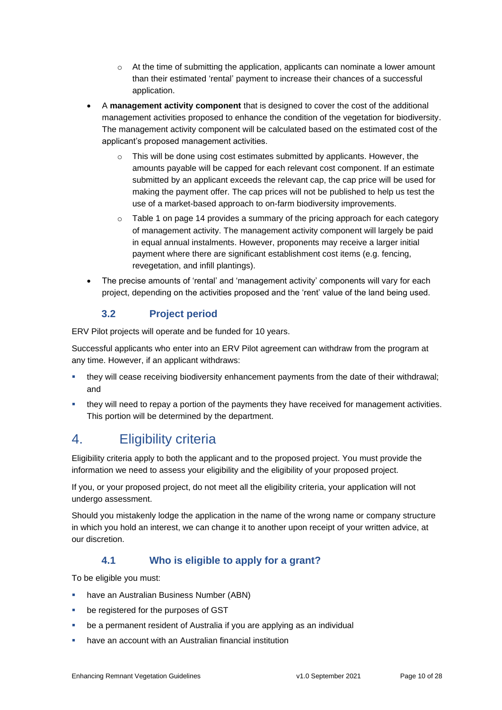- $\circ$  At the time of submitting the application, applicants can nominate a lower amount than their estimated 'rental' payment to increase their chances of a successful application.
- A **management activity component** that is designed to cover the cost of the additional management activities proposed to enhance the condition of the vegetation for biodiversity. The management activity component will be calculated based on the estimated cost of the applicant's proposed management activities.
	- $\circ$  This will be done using cost estimates submitted by applicants. However, the amounts payable will be capped for each relevant cost component. If an estimate submitted by an applicant exceeds the relevant cap, the cap price will be used for making the payment offer. The cap prices will not be published to help us test the use of a market-based approach to on-farm biodiversity improvements.
	- $\circ$  Table 1 on page 14 provides a summary of the pricing approach for each category of management activity. The management activity component will largely be paid in equal annual instalments. However, proponents may receive a larger initial payment where there are significant establishment cost items (e.g. fencing, revegetation, and infill plantings).
- The precise amounts of 'rental' and 'management activity' components will vary for each project, depending on the activities proposed and the 'rent' value of the land being used.

## **3.2 Project period**

ERV Pilot projects will operate and be funded for 10 years.

Successful applicants who enter into an ERV Pilot agreement can withdraw from the program at any time. However, if an applicant withdraws:

- they will cease receiving biodiversity enhancement payments from the date of their withdrawal; and
- **they will need to repay a portion of the payments they have received for management activities.** This portion will be determined by the department.

# 4. Eligibility criteria

Eligibility criteria apply to both the applicant and to the proposed project. You must provide the information we need to assess your eligibility and the eligibility of your proposed project.

If you, or your proposed project, do not meet all the eligibility criteria, your application will not undergo assessment.

Should you mistakenly lodge the application in the name of the wrong name or company structure in which you hold an interest, we can change it to another upon receipt of your written advice, at our discretion.

## **4.1 Who is eligible to apply for a grant?**

To be eligible you must:

- have an Australian Business Number (ABN)
- be registered for the purposes of GST
- be a permanent resident of Australia if you are applying as an individual
- have an account with an Australian financial institution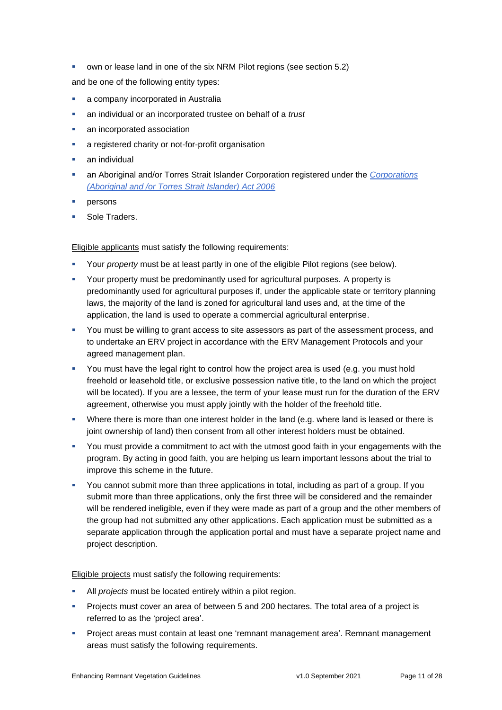■ own or lease land in one of the six NRM Pilot regions (see section 5.2)

and be one of the following entity types:

- **•** a company incorporated in Australia
- an individual or an incorporated trustee on behalf of a *trust*
- an incorporated association
- a registered charity or not-for-profit organisation
- an individual
- an Aboriginal and/or Torres Strait Islander Corporation registered under the *[Corporations](https://www.legislation.gov.au/Series/C2006A00124)  [\(Aboriginal and /or Torres Strait Islander\) Act 2006](https://www.legislation.gov.au/Series/C2006A00124)*
- persons
- Sole Traders.

Eligible applicants must satisfy the following requirements:

- Your *property* must be at least partly in one of the eligible Pilot regions (see below).
- Your property must be predominantly used for agricultural purposes. A property is predominantly used for agricultural purposes if, under the applicable state or territory planning laws, the majority of the land is zoned for agricultural land uses and, at the time of the application, the land is used to operate a commercial agricultural enterprise.
- You must be willing to grant access to site assessors as part of the assessment process, and to undertake an ERV project in accordance with the ERV Management Protocols and your agreed management plan.
- **•** You must have the legal right to control how the project area is used (e.g. you must hold freehold or leasehold title, or exclusive possession native title, to the land on which the project will be located). If you are a lessee, the term of your lease must run for the duration of the ERV agreement, otherwise you must apply jointly with the holder of the freehold title.
- **•** Where there is more than one interest holder in the land (e.g. where land is leased or there is joint ownership of land) then consent from all other interest holders must be obtained.
- You must provide a commitment to act with the utmost good faith in your engagements with the program. By acting in good faith, you are helping us learn important lessons about the trial to improve this scheme in the future.
- You cannot submit more than three applications in total, including as part of a group. If you submit more than three applications, only the first three will be considered and the remainder will be rendered ineligible, even if they were made as part of a group and the other members of the group had not submitted any other applications. Each application must be submitted as a separate application through the application portal and must have a separate project name and project description.

Eligible projects must satisfy the following requirements:

- All *projects* must be located entirely within a pilot region.
- Projects must cover an area of between 5 and 200 hectares. The total area of a project is referred to as the 'project area'.
- Project areas must contain at least one 'remnant management area'. Remnant management areas must satisfy the following requirements.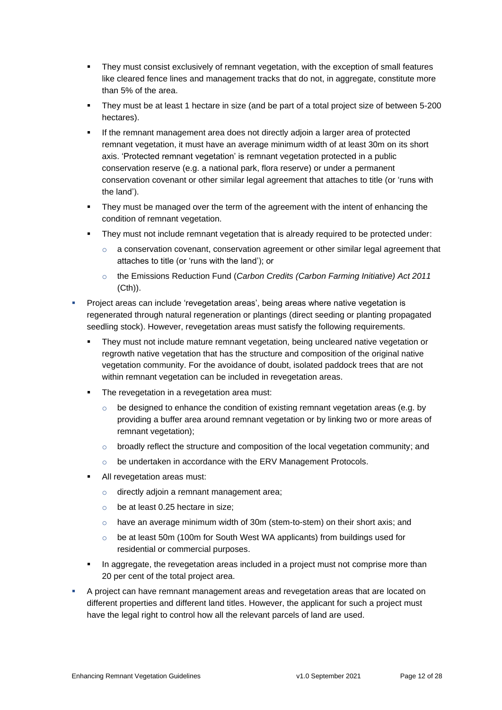- They must consist exclusively of remnant vegetation, with the exception of small features like cleared fence lines and management tracks that do not, in aggregate, constitute more than 5% of the area.
- They must be at least 1 hectare in size (and be part of a total project size of between 5-200 hectares).
- If the remnant management area does not directly adjoin a larger area of protected remnant vegetation, it must have an average minimum width of at least 30m on its short axis. 'Protected remnant vegetation' is remnant vegetation protected in a public conservation reserve (e.g. a national park, flora reserve) or under a permanent conservation covenant or other similar legal agreement that attaches to title (or 'runs with the land').
- They must be managed over the term of the agreement with the intent of enhancing the condition of remnant vegetation.
- They must not include remnant vegetation that is already required to be protected under:
	- $\circ$  a conservation covenant, conservation agreement or other similar legal agreement that attaches to title (or 'runs with the land'); or
	- o the Emissions Reduction Fund (*Carbon Credits (Carbon Farming Initiative) Act 2011*  (Cth)).
- Project areas can include 'revegetation areas', being areas where native vegetation is regenerated through natural regeneration or plantings (direct seeding or planting propagated seedling stock). However, revegetation areas must satisfy the following requirements.
	- They must not include mature remnant vegetation, being uncleared native vegetation or regrowth native vegetation that has the structure and composition of the original native vegetation community. For the avoidance of doubt, isolated paddock trees that are not within remnant vegetation can be included in revegetation areas.
	- The revegetation in a revegetation area must:
		- $\circ$  be designed to enhance the condition of existing remnant vegetation areas (e.g. by providing a buffer area around remnant vegetation or by linking two or more areas of remnant vegetation);
		- o broadly reflect the structure and composition of the local vegetation community; and
		- o be undertaken in accordance with the ERV Management Protocols.
	- All revegetation areas must:
		- o directly adjoin a remnant management area;
		- o be at least 0.25 hectare in size;
		- $\circ$  have an average minimum width of 30m (stem-to-stem) on their short axis; and
		- o be at least 50m (100m for South West WA applicants) from buildings used for residential or commercial purposes.
	- **•** In aggregate, the revegetation areas included in a project must not comprise more than 20 per cent of the total project area.
- A project can have remnant management areas and revegetation areas that are located on different properties and different land titles. However, the applicant for such a project must have the legal right to control how all the relevant parcels of land are used.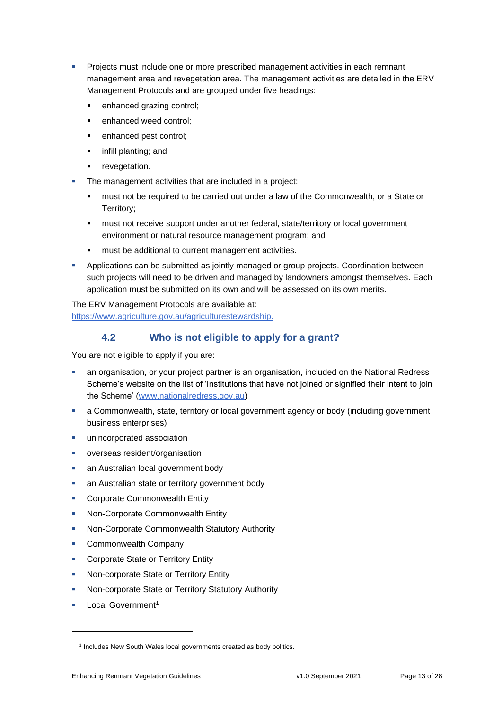- Projects must include one or more prescribed management activities in each remnant management area and revegetation area. The management activities are detailed in the ERV Management Protocols and are grouped under five headings:
	- enhanced grazing control;
	- enhanced weed control:
	- enhanced pest control;
	- infill planting; and
	- **■** revegetation.
- The management activities that are included in a project:
	- must not be required to be carried out under a law of the Commonwealth, or a State or Territory;
	- **■** must not receive support under another federal, state/territory or local government environment or natural resource management program; and
	- must be additional to current management activities.
- **•** Applications can be submitted as jointly managed or group projects. Coordination between such projects will need to be driven and managed by landowners amongst themselves. Each application must be submitted on its own and will be assessed on its own merits.

The ERV Management Protocols are available at: [https://www.agriculture.gov.au/agriculturestewardship.](https://www.agriculture.gov.au/agriculturestewardship)

## **4.2 Who is not eligible to apply for a grant?**

You are not eligible to apply if you are:

- an organisation, or your project partner is an organisation, included on the National Redress Scheme's website on the list of 'Institutions that have not joined or signified their intent to join the Scheme' [\(www.nationalredress.gov.au\)](http://www.nationalredress.gov.au/)
- **•** a Commonwealth, state, territory or local government agency or body (including government business enterprises)
- unincorporated association
- overseas resident/organisation
- an Australian local government body
- an Australian state or territory government body
- **Corporate Commonwealth Entity**
- Non-Corporate Commonwealth Entity
- **Non-Corporate Commonwealth Statutory Authority**
- Commonwealth Company
- **Corporate State or Territory Entity**
- Non-corporate State or Territory Entity
- Non-corporate State or Territory Statutory Authority
- Local Government<sup>1</sup>

<sup>&</sup>lt;sup>1</sup> Includes New South Wales local governments created as body politics.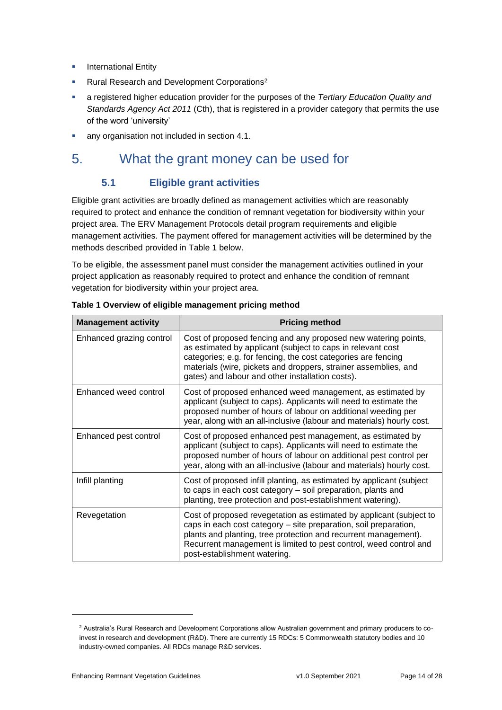- **•** International Entity
- Rural Research and Development Corporations<sup>2</sup>
- a registered higher education provider for the purposes of the *Tertiary Education Quality and Standards Agency Act 2011* (Cth), that is registered in a provider category that permits the use of the word 'university'
- **any organisation not included in section 4.1.**

# 5. What the grant money can be used for

## **5.1 Eligible grant activities**

Eligible grant activities are broadly defined as management activities which are reasonably required to protect and enhance the condition of remnant vegetation for biodiversity within your project area. The ERV Management Protocols detail program requirements and eligible management activities. The payment offered for management activities will be determined by the methods described provided in Table 1 below.

To be eligible, the assessment panel must consider the management activities outlined in your project application as reasonably required to protect and enhance the condition of remnant vegetation for biodiversity within your project area.

| <b>Management activity</b> | <b>Pricing method</b>                                                                                                                                                                                                                                                                                                 |
|----------------------------|-----------------------------------------------------------------------------------------------------------------------------------------------------------------------------------------------------------------------------------------------------------------------------------------------------------------------|
| Enhanced grazing control   | Cost of proposed fencing and any proposed new watering points,<br>as estimated by applicant (subject to caps in relevant cost<br>categories; e.g. for fencing, the cost categories are fencing<br>materials (wire, pickets and droppers, strainer assemblies, and<br>gates) and labour and other installation costs). |
| Enhanced weed control      | Cost of proposed enhanced weed management, as estimated by<br>applicant (subject to caps). Applicants will need to estimate the<br>proposed number of hours of labour on additional weeding per<br>year, along with an all-inclusive (labour and materials) hourly cost.                                              |
| Enhanced pest control      | Cost of proposed enhanced pest management, as estimated by<br>applicant (subject to caps). Applicants will need to estimate the<br>proposed number of hours of labour on additional pest control per<br>year, along with an all-inclusive (labour and materials) hourly cost.                                         |
| Infill planting            | Cost of proposed infill planting, as estimated by applicant (subject<br>to caps in each cost category - soil preparation, plants and<br>planting, tree protection and post-establishment watering).                                                                                                                   |
| Revegetation               | Cost of proposed revegetation as estimated by applicant (subject to<br>caps in each cost category - site preparation, soil preparation,<br>plants and planting, tree protection and recurrent management).<br>Recurrent management is limited to pest control, weed control and<br>post-establishment watering.       |

**Table 1 Overview of eligible management pricing method**

<sup>2</sup> Australia's Rural Research and Development Corporations allow Australian government and primary producers to coinvest in research and development (R&D). There are currently 15 RDCs: 5 Commonwealth statutory bodies and 10 industry-owned companies. All RDCs manage R&D services.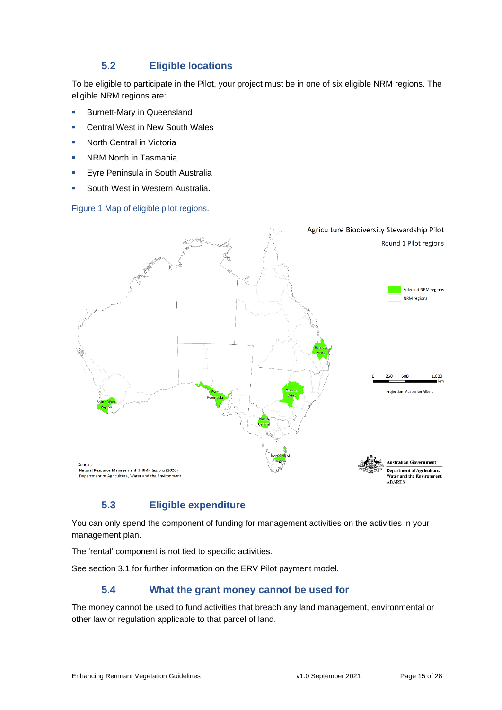## **5.2 Eligible locations**

To be eligible to participate in the Pilot, your project must be in one of six eligible NRM regions. The eligible NRM regions are:

- **E** Burnett-Mary in Queensland
- **E** Central West in New South Wales
- **North Central in Victoria**
- **NRM North in Tasmania**
- **Eyre Peninsula in South Australia**
- South West in Western Australia.

### Figure 1 Map of eligible pilot regions.



## **5.3 Eligible expenditure**

You can only spend the component of funding for management activities on the activities in your management plan.

The 'rental' component is not tied to specific activities.

See section 3.1 for further information on the ERV Pilot payment model.

## **5.4 What the grant money cannot be used for**

The money cannot be used to fund activities that breach any land management, environmental or other law or regulation applicable to that parcel of land.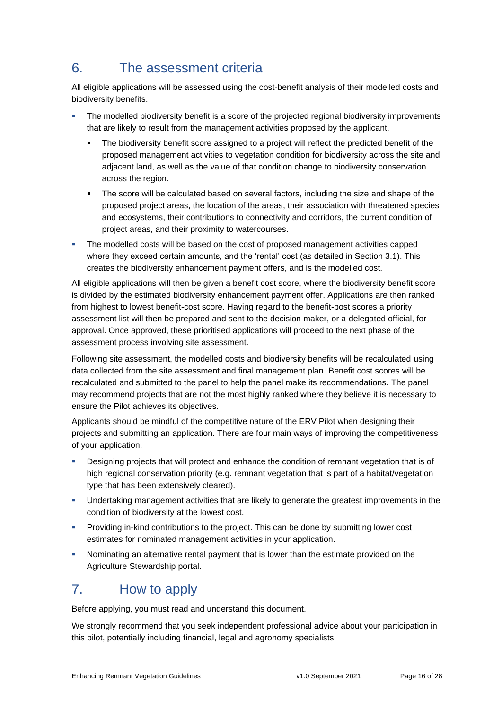# 6. The assessment criteria

All eligible applications will be assessed using the cost-benefit analysis of their modelled costs and biodiversity benefits.

- The modelled biodiversity benefit is a score of the projected regional biodiversity improvements that are likely to result from the management activities proposed by the applicant.
	- The biodiversity benefit score assigned to a project will reflect the predicted benefit of the proposed management activities to vegetation condition for biodiversity across the site and adjacent land, as well as the value of that condition change to biodiversity conservation across the region.
	- **•** The score will be calculated based on several factors, including the size and shape of the proposed project areas, the location of the areas, their association with threatened species and ecosystems, their contributions to connectivity and corridors, the current condition of project areas, and their proximity to watercourses.
- The modelled costs will be based on the cost of proposed management activities capped where they exceed certain amounts, and the 'rental' cost (as detailed in Section 3.1). This creates the biodiversity enhancement payment offers, and is the modelled cost.

All eligible applications will then be given a benefit cost score, where the biodiversity benefit score is divided by the estimated biodiversity enhancement payment offer. Applications are then ranked from highest to lowest benefit-cost score. Having regard to the benefit-post scores a priority assessment list will then be prepared and sent to the decision maker, or a delegated official, for approval. Once approved, these prioritised applications will proceed to the next phase of the assessment process involving site assessment.

Following site assessment, the modelled costs and biodiversity benefits will be recalculated using data collected from the site assessment and final management plan. Benefit cost scores will be recalculated and submitted to the panel to help the panel make its recommendations. The panel may recommend projects that are not the most highly ranked where they believe it is necessary to ensure the Pilot achieves its objectives.

Applicants should be mindful of the competitive nature of the ERV Pilot when designing their projects and submitting an application. There are four main ways of improving the competitiveness of your application.

- Designing projects that will protect and enhance the condition of remnant vegetation that is of high regional conservation priority (e.g. remnant vegetation that is part of a habitat/vegetation type that has been extensively cleared).
- **■** Undertaking management activities that are likely to generate the greatest improvements in the condition of biodiversity at the lowest cost.
- **Providing in-kind contributions to the project. This can be done by submitting lower cost** estimates for nominated management activities in your application.
- **•** Nominating an alternative rental payment that is lower than the estimate provided on the [Agriculture Stewardship portal.](https://www.agriculture.gov.au/ag-farm-food/natural-resources/landcare/sustaining-future-australian-farming)

# 7. How to apply

Before applying, you must read and understand this document.

We strongly recommend that you seek independent professional advice about your participation in this pilot, potentially including financial, legal and agronomy specialists.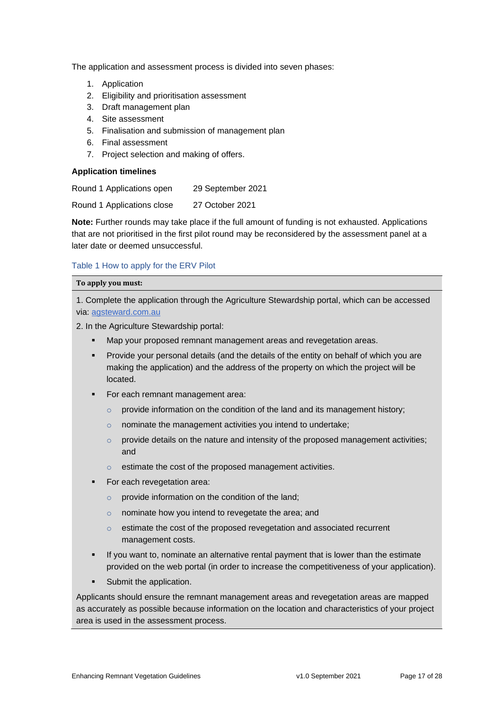The application and assessment process is divided into seven phases:

- 1. Application
- 2. Eligibility and prioritisation assessment
- 3. Draft management plan
- 4. Site assessment
- 5. Finalisation and submission of management plan
- 6. Final assessment
- 7. Project selection and making of offers.

### **Application timelines**

Round 1 Applications open 29 September 2021

Round 1 Applications close 27 October 2021

**Note:** Further rounds may take place if the full amount of funding is not exhausted. Applications that are not prioritised in the first pilot round may be reconsidered by the assessment panel at a later date or deemed unsuccessful.

### Table 1 How to apply for the ERV Pilot

#### **To apply you must:**

1. Complete the application through the Agriculture Stewardship portal, which can be accessed via: [agsteward.com.au](https://agsteward.com.au/)

2. In the Agriculture Stewardship portal:

- Map your proposed remnant management areas and revegetation areas.
- Provide your personal details (and the details of the entity on behalf of which you are making the application) and the address of the property on which the project will be located.
- For each remnant management area:
	- o provide information on the condition of the land and its management history;
	- o nominate the management activities you intend to undertake;
	- $\circ$  provide details on the nature and intensity of the proposed management activities; and
	- o estimate the cost of the proposed management activities.
- For each revegetation area:
	- $\circ$  provide information on the condition of the land;
	- o nominate how you intend to revegetate the area; and
	- o estimate the cost of the proposed revegetation and associated recurrent management costs.
- If you want to, nominate an alternative rental payment that is lower than the estimate provided on the web portal (in order to increase the competitiveness of your application).
- Submit the application.

Applicants should ensure the remnant management areas and revegetation areas are mapped as accurately as possible because information on the location and characteristics of your project area is used in the assessment process.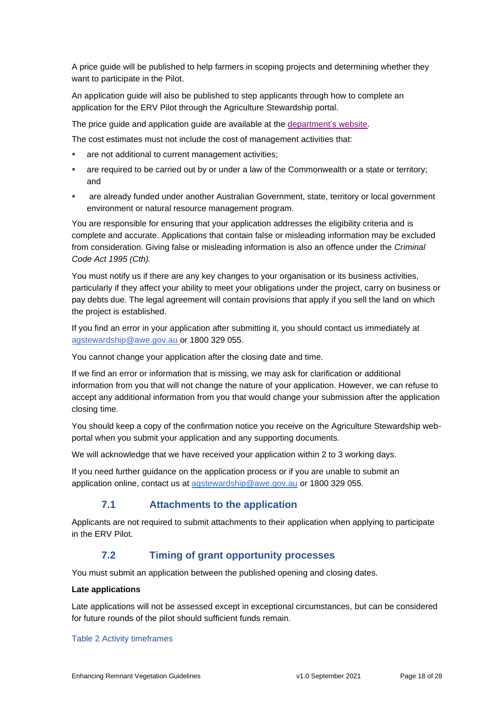A price guide will be published to help farmers in scoping projects and determining whether they want to participate in the Pilot.

An application guide will also be published to step applicants through how to complete an application for the ERV Pilot through the Agriculture Stewardship portal.

The price guide and application guide are available at the [department's website.](https://www.agriculture.gov.au/ag-farm-food/natural-resources/landcare/sustaining-future-australian-farming/enhancing-remnant-vegetation-pilot)

The cost estimates must not include the cost of management activities that:

- are not additional to current management activities;
- are required to be carried out by or under a law of the Commonwealth or a state or territory; and
- are already funded under another Australian Government, state, territory or local government environment or natural resource management program.

You are responsible for ensuring that your application addresses the eligibility criteria and is complete and accurate. Applications that contain false or misleading information may be excluded from consideration. Giving false or misleading information is also an offence under the *Criminal Code Act 1995 (Cth).*

You must notify us if there are any key changes to your organisation or its business activities, particularly if they affect your ability to meet your obligations under the project, carry on business or pay debts due. The legal agreement will contain provisions that apply if you sell the land on which the project is established.

If you find an error in your application after submitting it, you should contact us immediately at [agstewardship@awe.gov.au](mailto:agstewardship@awe.gov.au) or 1800 329 055.

You cannot change your application after the closing date and time.

If we find an error or information that is missing, we may ask for clarification or additional information from you that will not change the nature of your application. However, we can refuse to accept any additional information from you that would change your submission after the application closing time.

You should keep a copy of the confirmation notice you receive on the Agriculture Stewardship webportal when you submit your application and any supporting documents.

We will acknowledge that we have received your application within 2 to 3 working days.

If you need further guidance on the application process or if you are unable to submit an application online, contact us at [agstewardship@awe.gov.au](mailto:agstewardship@awe.gov.auo) or 1800 329 055.

## **7.1 Attachments to the application**

Applicants are not required to submit attachments to their application when applying to participate in the ERV Pilot.

### **7.2 Timing of grant opportunity processes**

You must submit an application between the published opening and closing dates.

### **Late applications**

Late applications will not be assessed except in exceptional circumstances, but can be considered for future rounds of the pilot should sufficient funds remain.

#### Table 2 Activity timeframes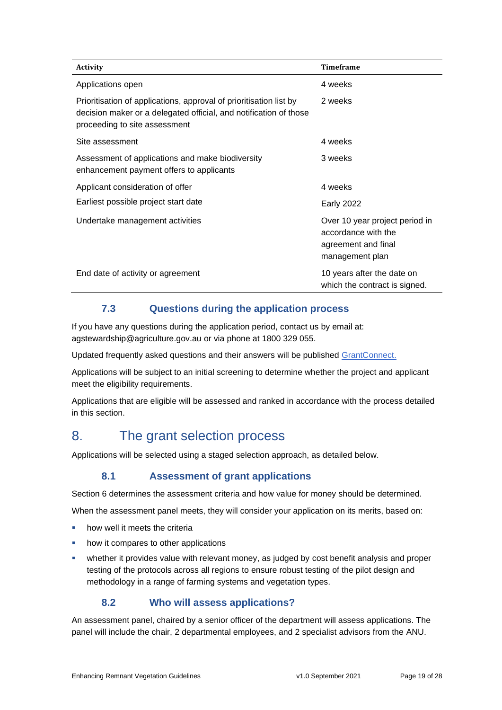| <b>Activity</b>                                                                                                                                                          | <b>Timeframe</b>                                                                                |
|--------------------------------------------------------------------------------------------------------------------------------------------------------------------------|-------------------------------------------------------------------------------------------------|
| Applications open                                                                                                                                                        | 4 weeks                                                                                         |
| Prioritisation of applications, approval of prioritisation list by<br>decision maker or a delegated official, and notification of those<br>proceeding to site assessment | 2 weeks                                                                                         |
| Site assessment                                                                                                                                                          | 4 weeks                                                                                         |
| Assessment of applications and make biodiversity<br>enhancement payment offers to applicants                                                                             | 3 weeks                                                                                         |
| Applicant consideration of offer                                                                                                                                         | 4 weeks                                                                                         |
| Earliest possible project start date                                                                                                                                     | <b>Early 2022</b>                                                                               |
| Undertake management activities                                                                                                                                          | Over 10 year project period in<br>accordance with the<br>agreement and final<br>management plan |
| End date of activity or agreement                                                                                                                                        | 10 years after the date on<br>which the contract is signed.                                     |

## **7.3 Questions during the application process**

If you have any questions during the application period, contact us by email at: agstewardship@agriculture.gov.au or via phone at 1800 329 055.

Updated frequently asked questions and their answers will be published [GrantConnect.](https://www.grants.gov.au/)

Applications will be subject to an initial screening to determine whether the project and applicant meet the eligibility requirements.

Applications that are eligible will be assessed and ranked in accordance with the process detailed in this section.

# 8. The grant selection process

Applications will be selected using a staged selection approach, as detailed below.

## **8.1 Assessment of grant applications**

Section 6 determines the assessment criteria and how value for money should be determined.

When the assessment panel meets, they will consider your application on its merits, based on:

- how well it meets the criteria
- how it compares to other applications
- whether it provides value with relevant money, as judged by cost benefit analysis and proper testing of the protocols across all regions to ensure robust testing of the pilot design and methodology in a range of farming systems and vegetation types.

## **8.2 Who will assess applications?**

An assessment panel, chaired by a senior officer of the department will assess applications. The panel will include the chair, 2 departmental employees, and 2 specialist advisors from the ANU.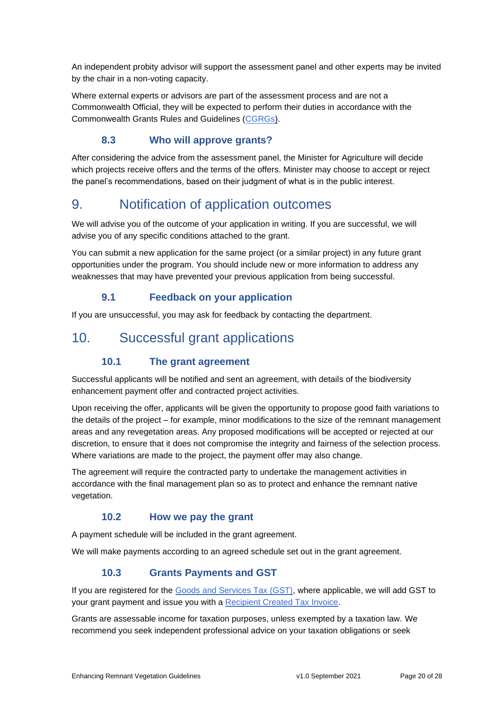An independent probity advisor will support the assessment panel and other experts may be invited by the chair in a non-voting capacity.

Where external experts or advisors are part of the assessment process and are not a Commonwealth Official, they will be expected to perform their duties in accordance with the Commonwealth Grants Rules and Guidelines [\(CGRGs\)](https://www.finance.gov.au/government/commonwealth-grants/commonwealth-grants-rules-and-guidelines).

## **8.3 Who will approve grants?**

After considering the advice from the assessment panel, the Minister for Agriculture will decide which projects receive offers and the terms of the offers. Minister may choose to accept or reject the panel's recommendations, based on their judgment of what is in the public interest.

# 9. Notification of application outcomes

We will advise you of the outcome of your application in writing. If you are successful, we will advise you of any specific conditions attached to the grant.

You can submit a new application for the same project (or a similar project) in any future grant opportunities under the program. You should include new or more information to address any weaknesses that may have prevented your previous application from being successful.

## **9.1 Feedback on your application**

If you are unsuccessful, you may ask for feedback by contacting the department.

# 10. Successful grant applications

## **10.1 The grant agreement**

Successful applicants will be notified and sent an agreement, with details of the biodiversity enhancement payment offer and contracted project activities.

Upon receiving the offer, applicants will be given the opportunity to propose good faith variations to the details of the project – for example, minor modifications to the size of the remnant management areas and any revegetation areas. Any proposed modifications will be accepted or rejected at our discretion, to ensure that it does not compromise the integrity and fairness of the selection process. Where variations are made to the project, the payment offer may also change.

The agreement will require the contracted party to undertake the management activities in accordance with the final management plan so as to protect and enhance the remnant native vegetation.

## **10.2 How we pay the grant**

A payment schedule will be included in the grant agreement.

We will make payments according to an agreed schedule set out in the grant agreement.

## **10.3 Grants Payments and GST**

If you are registered for the [Goods and Services Tax \(GST\),](https://www.ato.gov.au/Business/GST/Registering-for-GST/) where applicable, we will add GST to your grant payment and issue you with a [Recipient Created Tax Invoice.](https://www.ato.gov.au/business/gst/in-detail/managing-gst-in-your-business/tax-invoices/recipient-created-tax-invoices/)

Grants are assessable income for taxation purposes, unless exempted by a taxation law. We recommend you seek independent professional advice on your taxation obligations or seek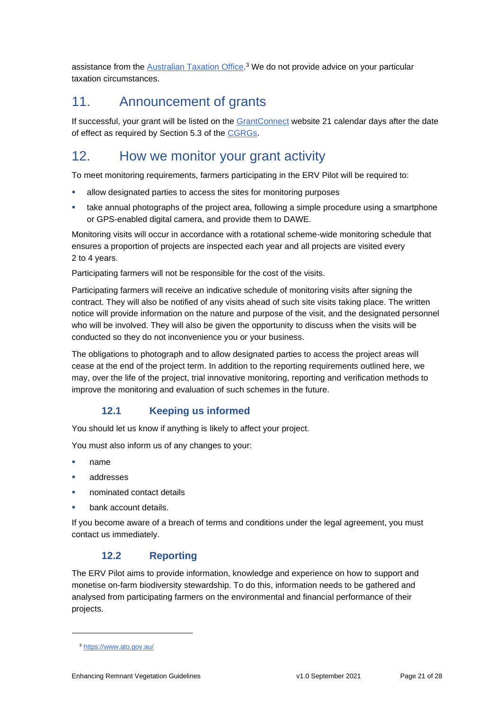assistance from the [Australian Taxation Office.](https://www.ato.gov.au/)<sup>3</sup> We do not provide advice on your particular taxation circumstances.

# 11. Announcement of grants

If successful, your grant will be listed on the [GrantConnect](https://www.grants.gov.au/) website 21 calendar days after the date of effect as required by Section 5.3 of the [CGRGs.](https://www.finance.gov.au/government/commonwealth-grants/commonwealth-grants-rules-and-guidelines)

# 12. How we monitor your grant activity

To meet monitoring requirements, farmers participating in the ERV Pilot will be required to:

- allow designated parties to access the sites for monitoring purposes
- **■** take annual photographs of the project area, following a simple procedure using a smartphone or GPS-enabled digital camera, and provide them to DAWE.

Monitoring visits will occur in accordance with a rotational scheme-wide monitoring schedule that ensures a proportion of projects are inspected each year and all projects are visited every 2 to 4 years.

Participating farmers will not be responsible for the cost of the visits.

Participating farmers will receive an indicative schedule of monitoring visits after signing the contract. They will also be notified of any visits ahead of such site visits taking place. The written notice will provide information on the nature and purpose of the visit, and the designated personnel who will be involved. They will also be given the opportunity to discuss when the visits will be conducted so they do not inconvenience you or your business.

The obligations to photograph and to allow designated parties to access the project areas will cease at the end of the project term. In addition to the reporting requirements outlined here, we may, over the life of the project, trial innovative monitoring, reporting and verification methods to improve the monitoring and evaluation of such schemes in the future.

## **12.1 Keeping us informed**

You should let us know if anything is likely to affect your project.

You must also inform us of any changes to your:

- name
- addresses
- nominated contact details
- bank account details.

If you become aware of a breach of terms and conditions under the legal agreement, you must contact us immediately.

## **12.2 Reporting**

The ERV Pilot aims to provide information, knowledge and experience on how to support and monetise on-farm biodiversity stewardship. To do this, information needs to be gathered and analysed from participating farmers on the environmental and financial performance of their projects.

<sup>3</sup> <https://www.ato.gov.au/>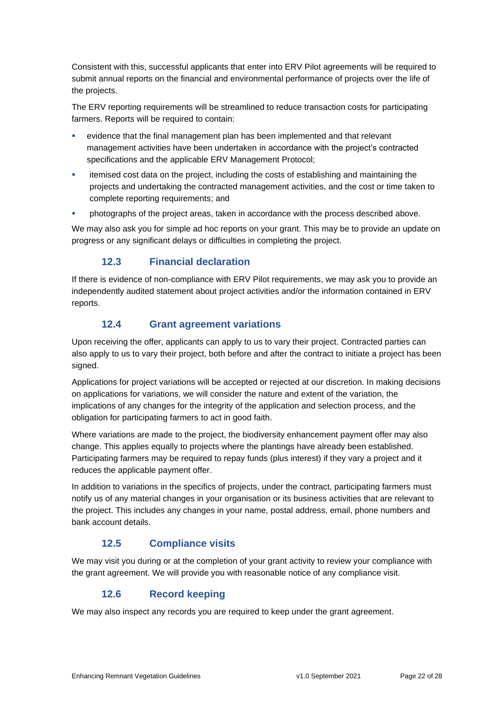Consistent with this, successful applicants that enter into ERV Pilot agreements will be required to submit annual reports on the financial and environmental performance of projects over the life of the projects.

The ERV reporting requirements will be streamlined to reduce transaction costs for participating farmers. Reports will be required to contain:

- evidence that the final management plan has been implemented and that relevant management activities have been undertaken in accordance with the project's contracted specifications and the applicable ERV Management Protocol;
- **•** itemised cost data on the project, including the costs of establishing and maintaining the projects and undertaking the contracted management activities, and the cost or time taken to complete reporting requirements; and
- **•** photographs of the project areas, taken in accordance with the process described above.

We may also ask you for simple ad hoc reports on your grant. This may be to provide an update on progress or any significant delays or difficulties in completing the project.

## **12.3 Financial declaration**

If there is evidence of non-compliance with ERV Pilot requirements, we may ask you to provide an independently audited statement about project activities and/or the information contained in ERV reports.

## **12.4 Grant agreement variations**

Upon receiving the offer, applicants can apply to us to vary their project. Contracted parties can also apply to us to vary their project, both before and after the contract to initiate a project has been signed.

Applications for project variations will be accepted or rejected at our discretion. In making decisions on applications for variations, we will consider the nature and extent of the variation, the implications of any changes for the integrity of the application and selection process, and the obligation for participating farmers to act in good faith.

Where variations are made to the project, the biodiversity enhancement payment offer may also change. This applies equally to projects where the plantings have already been established. Participating farmers may be required to repay funds (plus interest) if they vary a project and it reduces the applicable payment offer.

In addition to variations in the specifics of projects, under the contract, participating farmers must notify us of any material changes in your organisation or its business activities that are relevant to the project. This includes any changes in your name, postal address, email, phone numbers and bank account details.

## **12.5 Compliance visits**

We may visit you during or at the completion of your grant activity to review your compliance with the grant agreement. We will provide you with reasonable notice of any compliance visit.

## **12.6 Record keeping**

We may also inspect any records you are required to keep under the grant agreement.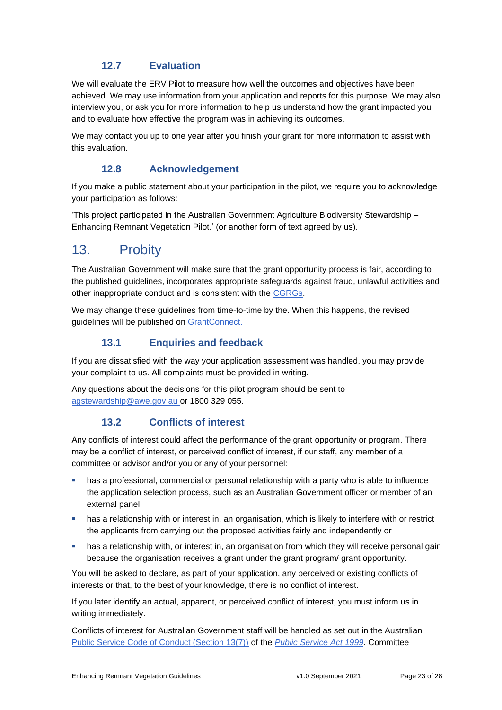## **12.7 Evaluation**

We will evaluate the ERV Pilot to measure how well the outcomes and objectives have been achieved. We may use information from your application and reports for this purpose. We may also interview you, or ask you for more information to help us understand how the grant impacted you and to evaluate how effective the program was in achieving its outcomes.

We may contact you up to one year after you finish your grant for more information to assist with this evaluation.

### **12.8 Acknowledgement**

If you make a public statement about your participation in the pilot, we require you to acknowledge your participation as follows:

'This project participated in the Australian Government Agriculture Biodiversity Stewardship – Enhancing Remnant Vegetation Pilot.' (or another form of text agreed by us).

## 13. Probity

The Australian Government will make sure that the grant opportunity process is fair, according to the published guidelines, incorporates appropriate safeguards against fraud, unlawful activities and other inappropriate conduct and is consistent with the [CGRGs.](https://www.finance.gov.au/government/commonwealth-grants/commonwealth-grants-rules-and-guidelines)

We may change these guidelines from time-to-time by the. When this happens, the revised guidelines will be published on [GrantConnect.](https://www.grants.gov.au/)

### **13.1 Enquiries and feedback**

If you are dissatisfied with the way your application assessment was handled, you may provide your complaint to us. All complaints must be provided in writing.

Any questions about the decisions for this pilot program should be sent to [agstewardship@awe.gov.au](mailto:agstewardship@awe.gov.au) or 1800 329 055.

## **13.2 Conflicts of interest**

Any conflicts of interest could affect the performance of the grant opportunity or program. There may be a [conflict of interest,](http://www.apsc.gov.au/publications-and-media/current-publications/aps-values-and-code-of-conduct-in-practice/conflict-of-interest) or perceived conflict of interest, if our staff, any member of a committee or advisor and/or you or any of your personnel:

- has a professional, commercial or personal relationship with a party who is able to influence the application selection process, such as an Australian Government officer or member of an external panel
- has a relationship with or interest in, an organisation, which is likely to interfere with or restrict the applicants from carrying out the proposed activities fairly and independently or
- has a relationship with, or interest in, an organisation from which they will receive personal gain because the organisation receives a grant under the grant program/ grant opportunity.

You will be asked to declare, as part of your application, any perceived or existing conflicts of interests or that, to the best of your knowledge, there is no conflict of interest.

If you later identify an actual, apparent, or perceived conflict of interest, you must inform us in writing immediately.

Conflicts of interest for Australian Government staff will be handled as set out in the Australian [Public Service Code of Conduct \(Section 13\(7\)\)](http://www8.austlii.edu.au/cgi-bin/viewdoc/au/legis/cth/consol_act/psa1999152/s13.html) of the *[Public Service Act 1999](https://www.legislation.gov.au/Series/C2004A00538)*. Committee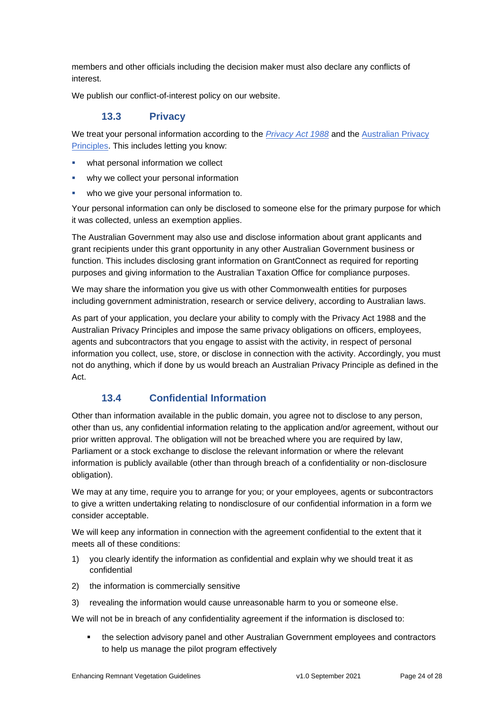members and other officials including the decision maker must also declare any conflicts of interest.

We publish our conflict-of-interest policy on our website.

### **13.3 Privacy**

We treat your personal information according to the *[Privacy Act 1988](https://www.legislation.gov.au/Details/C2014C00076)* and the [Australian Privacy](https://www.oaic.gov.au/privacy-law/privacy-act/australian-privacy-principles)  [Principles.](https://www.oaic.gov.au/privacy-law/privacy-act/australian-privacy-principles) This includes letting you know:

- what personal information we collect
- why we collect your personal information
- who we give your personal information to.

Your personal information can only be disclosed to someone else for the primary purpose for which it was collected, unless an exemption applies.

The Australian Government may also use and disclose information about grant applicants and grant recipients under this grant opportunity in any other Australian Government business or function. This includes disclosing grant information on GrantConnect as required for reporting purposes and giving information to the Australian Taxation Office for compliance purposes.

We may share the information you give us with other Commonwealth entities for purposes including government administration, research or service delivery, according to Australian laws.

As part of your application, you declare your ability to comply with the Privacy Act 1988 and the Australian Privacy Principles and impose the same privacy obligations on officers, employees, agents and subcontractors that you engage to assist with the activity, in respect of personal information you collect, use, store, or disclose in connection with the activity. Accordingly, you must not do anything, which if done by us would breach an Australian Privacy Principle as defined in the Act.

## **13.4 Confidential Information**

Other than information available in the public domain, you agree not to disclose to any person, other than us, any confidential information relating to the application and/or agreement, without our prior written approval. The obligation will not be breached where you are required by law, Parliament or a stock exchange to disclose the relevant information or where the relevant information is publicly available (other than through breach of a confidentiality or non-disclosure obligation).

We may at any time, require you to arrange for you; or your employees, agents or subcontractors to give a written undertaking relating to nondisclosure of our confidential information in a form we consider acceptable.

We will keep any information in connection with the agreement confidential to the extent that it meets all of these conditions:

- 1) you clearly identify the information as confidential and explain why we should treat it as confidential
- 2) the information is commercially sensitive
- 3) revealing the information would cause unreasonable harm to you or someone else.

We will not be in breach of any confidentiality agreement if the information is disclosed to:

the selection advisory panel and other Australian Government employees and contractors to help us manage the pilot program effectively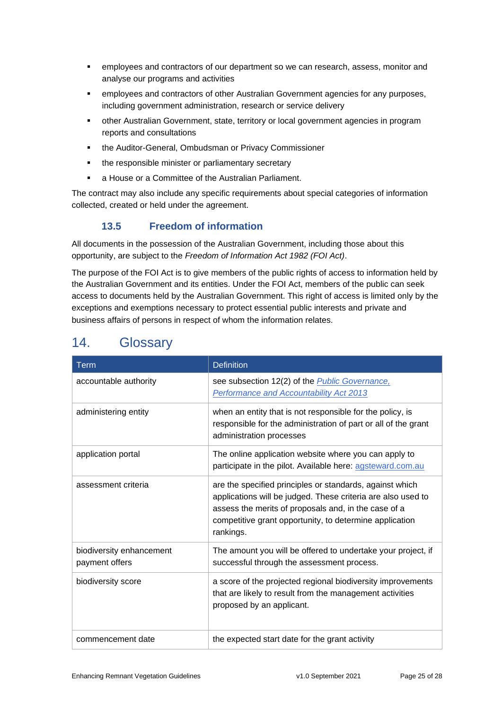- employees and contractors of our department so we can research, assess, monitor and analyse our programs and activities
- **employees and contractors of other Australian Government agencies for any purposes,** including government administration, research or service delivery
- other Australian Government, state, territory or local government agencies in program reports and consultations
- the Auditor-General, Ombudsman or Privacy Commissioner
- the responsible minister or parliamentary secretary
- a House or a Committee of the Australian Parliament.

The contract may also include any specific requirements about special categories of information collected, created or held under the agreement.

## **13.5 Freedom of information**

All documents in the possession of the Australian Government, including those about this opportunity, are subject to the *Freedom of Information Act 1982 (FOI Act)*.

The purpose of the FOI Act is to give members of the public rights of access to information held by the Australian Government and its entities. Under the FOI Act, members of the public can seek access to documents held by the Australian Government. This right of access is limited only by the exceptions and exemptions necessary to protect essential public interests and private and business affairs of persons in respect of whom the information relates.

| <b>Term</b>                                | <b>Definition</b>                                                                                                                                                                                                                                        |
|--------------------------------------------|----------------------------------------------------------------------------------------------------------------------------------------------------------------------------------------------------------------------------------------------------------|
| accountable authority                      | see subsection 12(2) of the <b>Public Governance</b> ,<br>Performance and Accountability Act 2013                                                                                                                                                        |
| administering entity                       | when an entity that is not responsible for the policy, is<br>responsible for the administration of part or all of the grant<br>administration processes                                                                                                  |
| application portal                         | The online application website where you can apply to<br>participate in the pilot. Available here: agsteward.com.au                                                                                                                                      |
| assessment criteria                        | are the specified principles or standards, against which<br>applications will be judged. These criteria are also used to<br>assess the merits of proposals and, in the case of a<br>competitive grant opportunity, to determine application<br>rankings. |
| biodiversity enhancement<br>payment offers | The amount you will be offered to undertake your project, if<br>successful through the assessment process.                                                                                                                                               |
| biodiversity score                         | a score of the projected regional biodiversity improvements<br>that are likely to result from the management activities<br>proposed by an applicant.                                                                                                     |
| commencement date                          | the expected start date for the grant activity                                                                                                                                                                                                           |

# 14. Glossary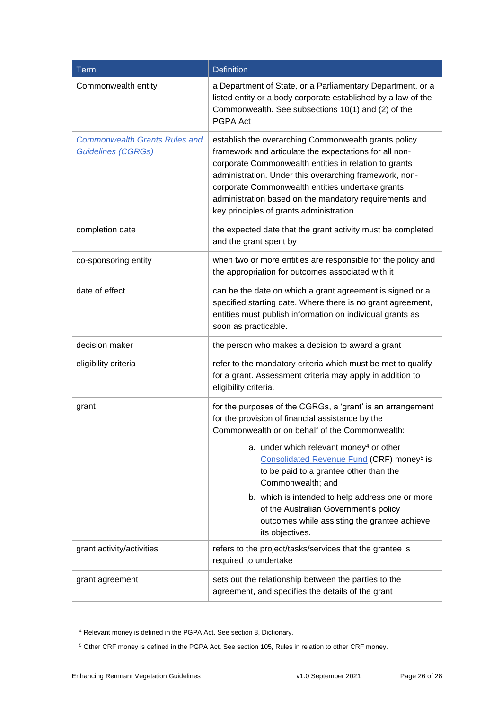| <b>Term</b>                                                       | <b>Definition</b>                                                                                                                                                                                                                                                                                                                                                                           |
|-------------------------------------------------------------------|---------------------------------------------------------------------------------------------------------------------------------------------------------------------------------------------------------------------------------------------------------------------------------------------------------------------------------------------------------------------------------------------|
| Commonwealth entity                                               | a Department of State, or a Parliamentary Department, or a<br>listed entity or a body corporate established by a law of the<br>Commonwealth. See subsections 10(1) and (2) of the<br>PGPA Act                                                                                                                                                                                               |
| <b>Commonwealth Grants Rules and</b><br><b>Guidelines (CGRGs)</b> | establish the overarching Commonwealth grants policy<br>framework and articulate the expectations for all non-<br>corporate Commonwealth entities in relation to grants<br>administration. Under this overarching framework, non-<br>corporate Commonwealth entities undertake grants<br>administration based on the mandatory requirements and<br>key principles of grants administration. |
| completion date                                                   | the expected date that the grant activity must be completed<br>and the grant spent by                                                                                                                                                                                                                                                                                                       |
| co-sponsoring entity                                              | when two or more entities are responsible for the policy and<br>the appropriation for outcomes associated with it                                                                                                                                                                                                                                                                           |
| date of effect                                                    | can be the date on which a grant agreement is signed or a<br>specified starting date. Where there is no grant agreement,<br>entities must publish information on individual grants as<br>soon as practicable.                                                                                                                                                                               |
| decision maker                                                    | the person who makes a decision to award a grant                                                                                                                                                                                                                                                                                                                                            |
| eligibility criteria                                              | refer to the mandatory criteria which must be met to qualify<br>for a grant. Assessment criteria may apply in addition to<br>eligibility criteria.                                                                                                                                                                                                                                          |
| grant                                                             | for the purposes of the CGRGs, a 'grant' is an arrangement<br>for the provision of financial assistance by the<br>Commonwealth or on behalf of the Commonwealth:                                                                                                                                                                                                                            |
|                                                                   | a. under which relevant money <sup>4</sup> or other<br>Consolidated Revenue Fund (CRF) money <sup>5</sup> is<br>to be paid to a grantee other than the<br>Commonwealth; and                                                                                                                                                                                                                 |
|                                                                   | b. which is intended to help address one or more<br>of the Australian Government's policy<br>outcomes while assisting the grantee achieve<br>its objectives.                                                                                                                                                                                                                                |
| grant activity/activities                                         | refers to the project/tasks/services that the grantee is<br>required to undertake                                                                                                                                                                                                                                                                                                           |
| grant agreement                                                   | sets out the relationship between the parties to the<br>agreement, and specifies the details of the grant                                                                                                                                                                                                                                                                                   |

<sup>4</sup> Relevant money is defined in the PGPA Act. See section 8, Dictionary.

<sup>5</sup> Other CRF money is defined in the PGPA Act. See section 105, Rules in relation to other CRF money.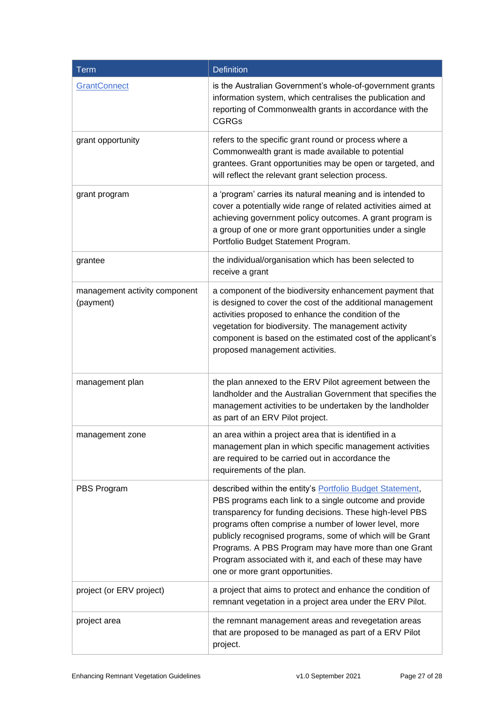| Term                                       | <b>Definition</b>                                                                                                                                                                                                                                                                                                                                                                                                                                           |
|--------------------------------------------|-------------------------------------------------------------------------------------------------------------------------------------------------------------------------------------------------------------------------------------------------------------------------------------------------------------------------------------------------------------------------------------------------------------------------------------------------------------|
| GrantConnect                               | is the Australian Government's whole-of-government grants<br>information system, which centralises the publication and<br>reporting of Commonwealth grants in accordance with the<br><b>CGRGs</b>                                                                                                                                                                                                                                                           |
| grant opportunity                          | refers to the specific grant round or process where a<br>Commonwealth grant is made available to potential<br>grantees. Grant opportunities may be open or targeted, and<br>will reflect the relevant grant selection process.                                                                                                                                                                                                                              |
| grant program                              | a 'program' carries its natural meaning and is intended to<br>cover a potentially wide range of related activities aimed at<br>achieving government policy outcomes. A grant program is<br>a group of one or more grant opportunities under a single<br>Portfolio Budget Statement Program.                                                                                                                                                                 |
| grantee                                    | the individual/organisation which has been selected to<br>receive a grant                                                                                                                                                                                                                                                                                                                                                                                   |
| management activity component<br>(payment) | a component of the biodiversity enhancement payment that<br>is designed to cover the cost of the additional management<br>activities proposed to enhance the condition of the<br>vegetation for biodiversity. The management activity<br>component is based on the estimated cost of the applicant's<br>proposed management activities.                                                                                                                     |
| management plan                            | the plan annexed to the ERV Pilot agreement between the<br>landholder and the Australian Government that specifies the<br>management activities to be undertaken by the landholder<br>as part of an ERV Pilot project.                                                                                                                                                                                                                                      |
| management zone                            | an area within a project area that is identified in a<br>management plan in which specific management activities<br>are required to be carried out in accordance the<br>requirements of the plan.                                                                                                                                                                                                                                                           |
| PBS Program                                | described within the entity's Portfolio Budget Statement,<br>PBS programs each link to a single outcome and provide<br>transparency for funding decisions. These high-level PBS<br>programs often comprise a number of lower level, more<br>publicly recognised programs, some of which will be Grant<br>Programs. A PBS Program may have more than one Grant<br>Program associated with it, and each of these may have<br>one or more grant opportunities. |
| project (or ERV project)                   | a project that aims to protect and enhance the condition of<br>remnant vegetation in a project area under the ERV Pilot.                                                                                                                                                                                                                                                                                                                                    |
| project area                               | the remnant management areas and revegetation areas<br>that are proposed to be managed as part of a ERV Pilot<br>project.                                                                                                                                                                                                                                                                                                                                   |